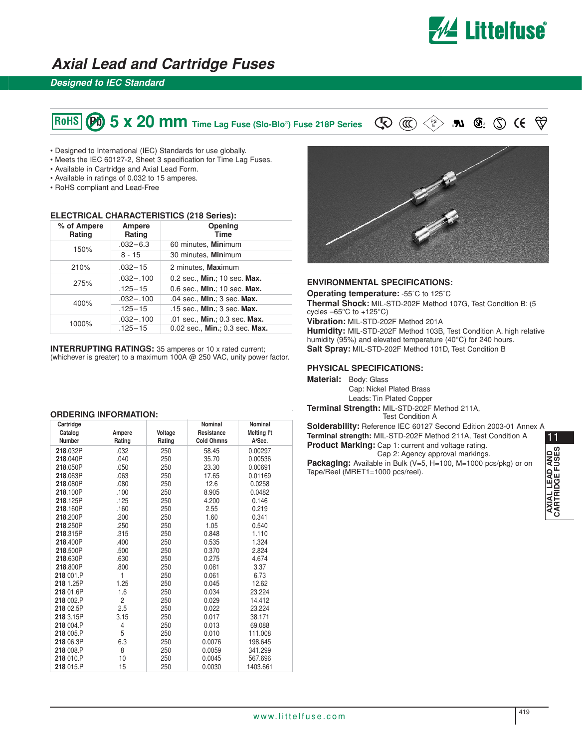

## **Axial Lead and Cartridge Fuses**

### **Designed to IEC Standard**

# **6. The SET ST & SOMM** Time Lag Fuse (Slo-Blo<sup>®</sup>) Fuse 218P Series  $\mathbb{Q} \otimes \mathbb{C}$  **20 & 9**  $\mathbb{R}$  **10 & 9**  $\mathbb{Q} \otimes \mathbb{C}$

- Designed to International (IEC) Standards for use globally.
- Meets the IEC 60127-2, Sheet 3 specification for Time Lag Fuses.
- Available in Cartridge and Axial Lead Form.
- Available in ratings of 0.032 to 15 amperes.
- RoHS compliant and Lead-Free

#### **ELECTRICAL CHARACTERISTICS (218 Series):**

| % of Ampere<br>Rating | Ampere<br>Rating | Opening<br><b>Time</b>         |  |
|-----------------------|------------------|--------------------------------|--|
| 150%                  | $.032 - 6.3$     | 60 minutes, Minimum            |  |
|                       | 8 - 15           | 30 minutes, Minimum            |  |
| 210%                  | $.032 - 15$      | 2 minutes, Maximum             |  |
| 275%                  | $.032 - .100$    | 0.2 sec., Min.; 10 sec. Max.   |  |
|                       | $.125 - 15$      | 0.6 sec., Min.; 10 sec. Max.   |  |
| 400%                  | $.032 - .100$    | .04 sec., Min.; 3 sec. Max.    |  |
|                       | $.125 - 15$      | .15 sec., Min.; 3 sec. Max.    |  |
| 1000%                 | $.032 - .100$    | .01 sec., Min.; 0.3 sec. Max.  |  |
|                       | $.125 - 15$      | 0.02 sec., Min.; 0.3 sec. Max. |  |

**INTERRUPTING RATINGS:** 35 amperes or 10 x rated current; (whichever is greater) to a maximum 100A @ 250 VAC, unity power factor.

#### **ORDERING INFORMATION:**

| Cartridge     |                |         | <b>Nominal</b>    | <b>Nominal</b>           |
|---------------|----------------|---------|-------------------|--------------------------|
| Catalog       | Ampere         | Voltage | Resistance        | Melting l <sup>2</sup> t |
| <b>Number</b> | Rating         | Rating  | <b>Cold Ohmns</b> | A <sup>2</sup> Sec.      |
| 218.032P      | .032           | 250     | 58.45             | 0.00297                  |
| 218,040P      | .040           | 250     | 35.70             | 0.00536                  |
| 218.050P      | .050           | 250     | 23.30             | 0.00691                  |
| 218.063P      | .063           | 250     | 17.65             | 0.01169                  |
| 218,080P      | .080           | 250     | 12.6              | 0.0258                   |
| 218.100P      | .100           | 250     | 8.905             | 0.0482                   |
| 218.125P      | .125           | 250     | 4.200             | 0.146                    |
| 218.160P      | .160           | 250     | 2.55              | 0.219                    |
| 218,200P      | .200           | 250     | 1.60              | 0.341                    |
| 218.250P      | .250           | 250     | 1.05              | 0.540                    |
| 218.315P      | .315           | 250     | 0.848             | 1.110                    |
| 218.400P      | .400           | 250     | 0.535             | 1.324                    |
| 218,500P      | .500           | 250     | 0.370             | 2.824                    |
| 218.630P      | .630           | 250     | 0.275             | 4.674                    |
| 218,800P      | .800           | 250     | 0.081             | 3.37                     |
| 218 001.P     | 1              | 250     | 0.061             | 6.73                     |
| 218 1.25P     | 1.25           | 250     | 0.045             | 12.62                    |
| 218 01.6P     | 1.6            | 250     | 0.034             | 23.224                   |
| 218 002.P     | $\overline{c}$ | 250     | 0.029             | 14.412                   |
| 218 02.5P     | 2.5            | 250     | 0.022             | 23.224                   |
| 218 3.15P     | 3.15           | 250     | 0.017             | 38.171                   |
| 218 004.P     | 4              | 250     | 0.013             | 69.088                   |
| 218 005.P     | 5              | 250     | 0.010             | 111.008                  |
| 218 06.3P     | 6.3            | 250     | 0.0076            | 198.645                  |
| 218 008.P     | 8              | 250     | 0.0059            | 341.299                  |
| 218 010.P     | 10             | 250     | 0.0045            | 567.696                  |
| 218 015.P     | 15             | 250     | 0.0030            | 1403.661                 |



#### **ENVIRONMENTAL SPECIFICATIONS:**

**Operating temperature:** -55˚C to 125˚C **Thermal Shock:** MIL-STD-202F Method 107G, Test Condition B: (5 cycles  $-65^{\circ}$ C to  $+125^{\circ}$ C) **Vibration:** MIL-STD-202F Method 201A

**Humidity:** MIL-STD-202F Method 103B, Test Condition A. high relative humidity (95%) and elevated temperature (40°C) for 240 hours. **Salt Spray:** MIL-STD-202F Method 101D, Test Condition B

#### **PHYSICAL SPECIFICATIONS:**

**Material:** Body: Glass

Cap: Nickel Plated Brass Leads: Tin Plated Copper **Terminal Strength:** MIL-STD-202F Method 211A, Test Condition A

11**Solderability:** Reference IEC 60127 Second Edition 2003-01 Annex A **Terminal strength:** MIL-STD-202F Method 211A, Test Condition A **Product Marking:** Cap 1: current and voltage rating. Cap 2: Agency approval markings. Packaging: Available in Bulk (V=5, H=100, M=1000 pcs/pkg) or on

Tape/Reel (MRET1=1000 pcs/reel).